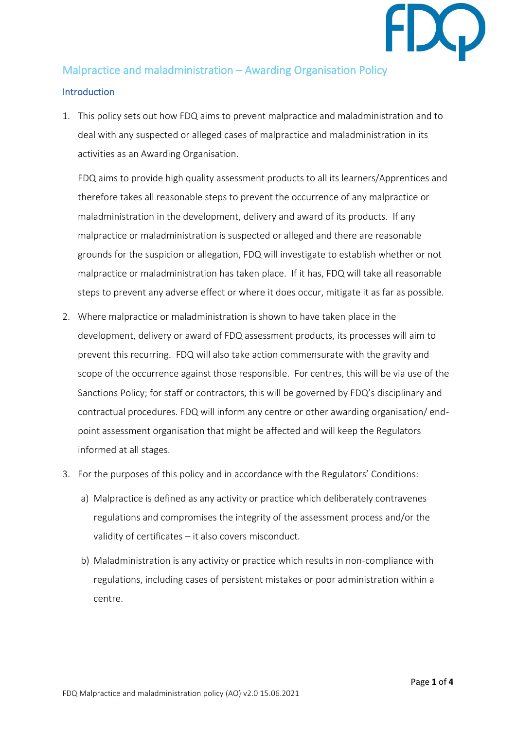

## Malpractice and maladministration – Awarding Organisation Policy

## **Introduction**

1. This policy sets out how FDQ aims to prevent malpractice and maladministration and to deal with any suspected or alleged cases of malpractice and maladministration in its activities as an Awarding Organisation.

FDQ aims to provide high quality assessment products to all its learners/Apprentices and therefore takes all reasonable steps to prevent the occurrence of any malpractice or maladministration in the development, delivery and award of its products. If any malpractice or maladministration is suspected or alleged and there are reasonable grounds for the suspicion or allegation, FDQ will investigate to establish whether or not malpractice or maladministration has taken place. If it has, FDQ will take all reasonable steps to prevent any adverse effect or where it does occur, mitigate it as far as possible.

- 2. Where malpractice or maladministration is shown to have taken place in the development, delivery or award of FDQ assessment products, its processes will aim to prevent this recurring. FDQ will also take action commensurate with the gravity and scope of the occurrence against those responsible. For centres, this will be via use of the Sanctions Policy; for staff or contractors, this will be governed by FDQ's disciplinary and contractual procedures. FDQ will inform any centre or other awarding organisation/ endpoint assessment organisation that might be affected and will keep the Regulators informed at all stages.
- 3. For the purposes of this policy and in accordance with the Regulators' Conditions:
	- a) Malpractice is defined as any activity or practice which deliberately contravenes regulations and compromises the integrity of the assessment process and/or the validity of certificates – it also covers misconduct.
	- b) Maladministration is any activity or practice which results in non-compliance with regulations, including cases of persistent mistakes or poor administration within a centre.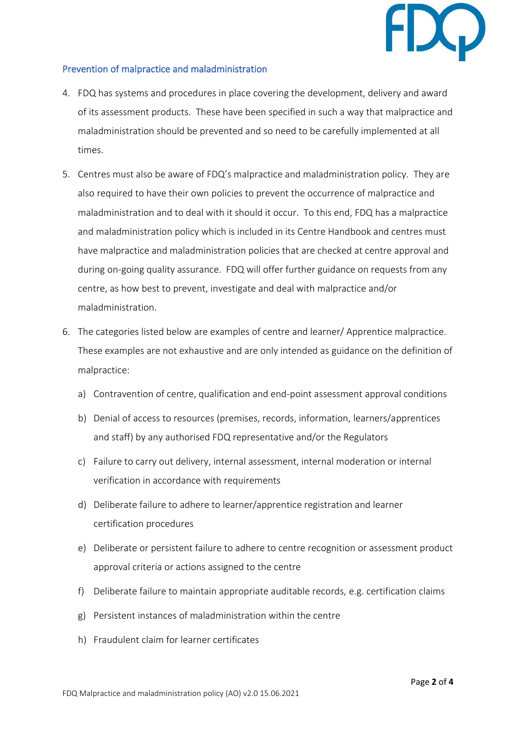

## Prevention of malpractice and maladministration

- 4. FDQ has systems and procedures in place covering the development, delivery and award of its assessment products. These have been specified in such a way that malpractice and maladministration should be prevented and so need to be carefully implemented at all times.
- 5. Centres must also be aware of FDQ's malpractice and maladministration policy. They are also required to have their own policies to prevent the occurrence of malpractice and maladministration and to deal with it should it occur. To this end, FDQ has a malpractice and maladministration policy which is included in its Centre Handbook and centres must have malpractice and maladministration policies that are checked at centre approval and during on-going quality assurance. FDQ will offer further guidance on requests from any centre, as how best to prevent, investigate and deal with malpractice and/or maladministration.
- 6. The categories listed below are examples of centre and learner/ Apprentice malpractice. These examples are not exhaustive and are only intended as guidance on the definition of malpractice:
	- a) Contravention of centre, qualification and end-point assessment approval conditions
	- b) Denial of access to resources (premises, records, information, learners/apprentices and staff) by any authorised FDQ representative and/or the Regulators
	- c) Failure to carry out delivery, internal assessment, internal moderation or internal verification in accordance with requirements
	- d) Deliberate failure to adhere to learner/apprentice registration and learner certification procedures
	- e) Deliberate or persistent failure to adhere to centre recognition or assessment product approval criteria or actions assigned to the centre
	- f) Deliberate failure to maintain appropriate auditable records, e.g. certification claims
	- g) Persistent instances of maladministration within the centre
	- h) Fraudulent claim for learner certificates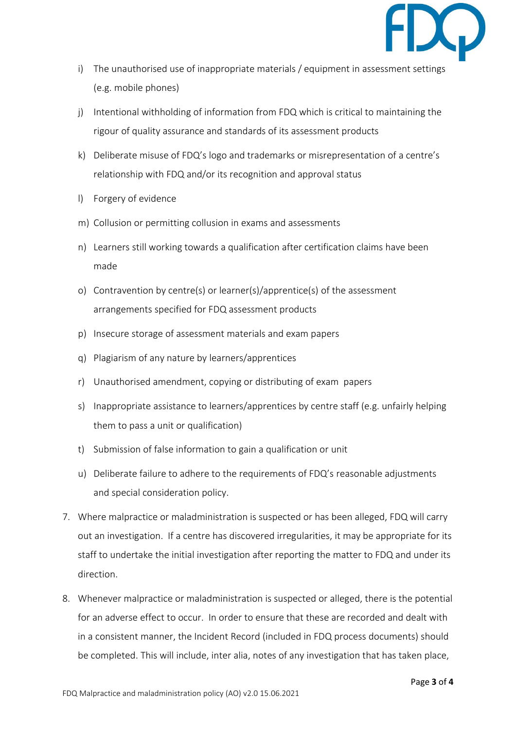

- i) The unauthorised use of inappropriate materials / equipment in assessment settings (e.g. mobile phones)
- j) Intentional withholding of information from FDQ which is critical to maintaining the rigour of quality assurance and standards of its assessment products
- k) Deliberate misuse of FDQ's logo and trademarks or misrepresentation of a centre's relationship with FDQ and/or its recognition and approval status
- l) Forgery of evidence
- m) Collusion or permitting collusion in exams and assessments
- n) Learners still working towards a qualification after certification claims have been made
- o) Contravention by centre(s) or learner(s)/apprentice(s) of the assessment arrangements specified for FDQ assessment products
- p) Insecure storage of assessment materials and exam papers
- q) Plagiarism of any nature by learners/apprentices
- r) Unauthorised amendment, copying or distributing of exam papers
- s) Inappropriate assistance to learners/apprentices by centre staff (e.g. unfairly helping them to pass a unit or qualification)
- t) Submission of false information to gain a qualification or unit
- u) Deliberate failure to adhere to the requirements of FDQ's reasonable adjustments and special consideration policy.
- 7. Where malpractice or maladministration is suspected or has been alleged, FDQ will carry out an investigation. If a centre has discovered irregularities, it may be appropriate for its staff to undertake the initial investigation after reporting the matter to FDQ and under its direction.
- 8. Whenever malpractice or maladministration is suspected or alleged, there is the potential for an adverse effect to occur. In order to ensure that these are recorded and dealt with in a consistent manner, the Incident Record (included in FDQ process documents) should be completed. This will include, inter alia, notes of any investigation that has taken place,